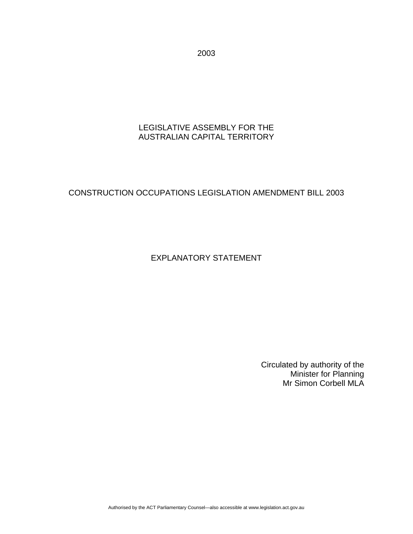2003

### LEGISLATIVE ASSEMBLY FOR THE AUSTRALIAN CAPITAL TERRITORY

# CONSTRUCTION OCCUPATIONS LEGISLATION AMENDMENT BILL 2003

## EXPLANATORY STATEMENT

Circulated by authority of the Minister for Planning Mr Simon Corbell MLA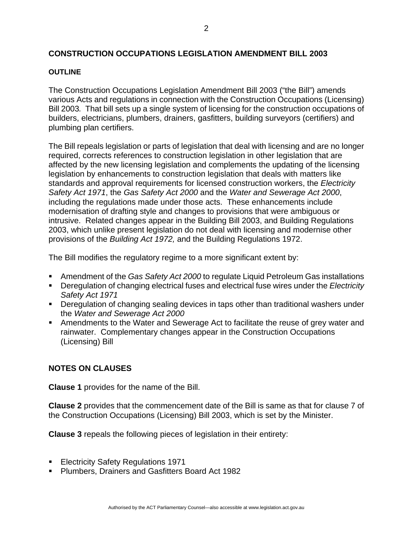## **CONSTRUCTION OCCUPATIONS LEGISLATION AMENDMENT BILL 2003**

#### **OUTLINE**

The Construction Occupations Legislation Amendment Bill 2003 ("the Bill") amends various Acts and regulations in connection with the Construction Occupations (Licensing) Bill 2003*.* That bill sets up a single system of licensing for the construction occupations of builders, electricians, plumbers, drainers, gasfitters, building surveyors (certifiers) and plumbing plan certifiers.

The Bill repeals legislation or parts of legislation that deal with licensing and are no longer required, corrects references to construction legislation in other legislation that are affected by the new licensing legislation and complements the updating of the licensing legislation by enhancements to construction legislation that deals with matters like standards and approval requirements for licensed construction workers, the *Electricity Safety Act 1971*, the *Gas Safety Act 2000* and the *Water and Sewerage Act 2000*, including the regulations made under those acts. These enhancements include modernisation of drafting style and changes to provisions that were ambiguous or intrusive. Related changes appear in the Building Bill 2003, and Building Regulations 2003, which unlike present legislation do not deal with licensing and modernise other provisions of the *Building Act 1972,* and the Building Regulations 1972.

The Bill modifies the regulatory regime to a more significant extent by:

- Amendment of the *Gas Safety Act 2000* to regulate Liquid Petroleum Gas installations
- Deregulation of changing electrical fuses and electrical fuse wires under the *Electricity Safety Act 1971*
- **Deregulation of changing sealing devices in taps other than traditional washers under** the *Water and Sewerage Act 2000*
- Amendments to the Water and Sewerage Act to facilitate the reuse of grey water and rainwater. Complementary changes appear in the Construction Occupations (Licensing) Bill

#### **NOTES ON CLAUSES**

**Clause 1** provides for the name of the Bill.

**Clause 2** provides that the commencement date of the Bill is same as that for clause 7 of the Construction Occupations (Licensing) Bill 2003, which is set by the Minister.

**Clause 3** repeals the following pieces of legislation in their entirety:

- **Electricity Safety Regulations 1971**
- **Plumbers, Drainers and Gasfitters Board Act 1982**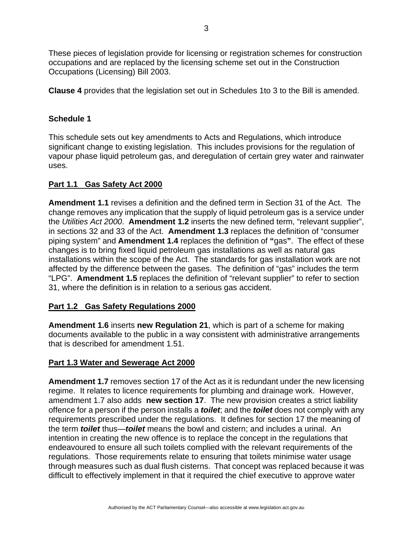These pieces of legislation provide for licensing or registration schemes for construction occupations and are replaced by the licensing scheme set out in the Construction Occupations (Licensing) Bill 2003.

**Clause 4** provides that the legislation set out in Schedules 1to 3 to the Bill is amended.

## **Schedule 1**

This schedule sets out key amendments to Acts and Regulations, which introduce significant change to existing legislation. This includes provisions for the regulation of vapour phase liquid petroleum gas, and deregulation of certain grey water and rainwater uses.

### **Part 1.1 Gas Safety Act 2000**

**Amendment 1.1** revises a definition and the defined term in Section 31 of the Act. The change removes any implication that the supply of liquid petroleum gas is a service under the *Utilities Act 2000*. **Amendment 1.2** inserts the new defined term, "relevant supplier", in sections 32 and 33 of the Act. **Amendment 1.3** replaces the definition of "consumer piping system" and **Amendment 1.4** replaces the definition of **"**gas**"**. The effect of these changes is to bring fixed liquid petroleum gas installations as well as natural gas installations within the scope of the Act. The standards for gas installation work are not affected by the difference between the gases. The definition of "gas" includes the term "LPG". **Amendment 1.5** replaces the definition of "relevant supplier" to refer to section 31, where the definition is in relation to a serious gas accident.

#### **Part 1.2 Gas Safety Regulations 2000**

**Amendment 1.6** inserts **new Regulation 21**, which is part of a scheme for making documents available to the public in a way consistent with administrative arrangements that is described for amendment 1.51.

#### **Part 1.3 Water and Sewerage Act 2000**

**Amendment 1.7** removes section 17 of the Act as it is redundant under the new licensing regime. It relates to licence requirements for plumbing and drainage work. However, amendment 1.7 also adds **new section 17**. The new provision creates a strict liability offence for a person if the person installs a *toilet*; and the *toilet* does not comply with any requirements prescribed under the regulations. It defines for section 17 the meaning of the term *toilet* thus—*toilet* means the bowl and cistern; and includes a urinal. An intention in creating the new offence is to replace the concept in the regulations that endeavoured to ensure all such toilets complied with the relevant requirements of the regulations. Those requirements relate to ensuring that toilets minimise water usage through measures such as dual flush cisterns. That concept was replaced because it was difficult to effectively implement in that it required the chief executive to approve water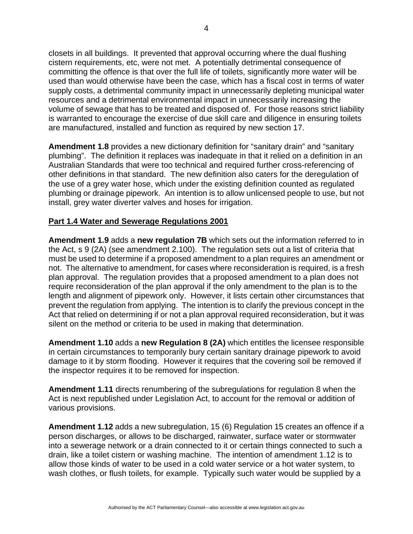closets in all buildings. It prevented that approval occurring where the dual flushing cistern requirements, etc, were not met. A potentially detrimental consequence of committing the offence is that over the full life of toilets, significantly more water will be used than would otherwise have been the case, which has a fiscal cost in terms of water supply costs, a detrimental community impact in unnecessarily depleting municipal water resources and a detrimental environmental impact in unnecessarily increasing the volume of sewage that has to be treated and disposed of. For those reasons strict liability is warranted to encourage the exercise of due skill care and diligence in ensuring toilets are manufactured, installed and function as required by new section 17.

**Amendment 1.8** provides a new dictionary definition for "sanitary drain" and "sanitary plumbing". The definition it replaces was inadequate in that it relied on a definition in an Australian Standards that were too technical and required further cross-referencing of other definitions in that standard. The new definition also caters for the deregulation of the use of a grey water hose, which under the existing definition counted as regulated plumbing or drainage pipework. An intention is to allow unlicensed people to use, but not install, grey water diverter valves and hoses for irrigation.

### **Part 1.4 Water and Sewerage Regulations 2001**

**Amendment 1.9** adds a **new regulation 7B** which sets out the information referred to in the Act, s 9 (2A) (see amendment 2.100). The regulation sets out a list of criteria that must be used to determine if a proposed amendment to a plan requires an amendment or not. The alternative to amendment, for cases where reconsideration is required, is a fresh plan approval. The regulation provides that a proposed amendment to a plan does not require reconsideration of the plan approval if the only amendment to the plan is to the length and alignment of pipework only. However, it lists certain other circumstances that prevent the regulation from applying. The intention is to clarify the previous concept in the Act that relied on determining if or not a plan approval required reconsideration, but it was silent on the method or criteria to be used in making that determination.

**Amendment 1.10** adds a **new Regulation 8 (2A)** which entitles the licensee responsible in certain circumstances to temporarily bury certain sanitary drainage pipework to avoid damage to it by storm flooding. However it requires that the covering soil be removed if the inspector requires it to be removed for inspection.

**Amendment 1.11** directs renumbering of the subregulations for regulation 8 when the Act is next republished under Legislation Act, to account for the removal or addition of various provisions.

**Amendment 1.12** adds a new subregulation, 15 (6) Regulation 15 creates an offence if a person discharges, or allows to be discharged, rainwater, surface water or stormwater into a sewerage network or a drain connected to it or certain things connected to such a drain, like a toilet cistern or washing machine. The intention of amendment 1.12 is to allow those kinds of water to be used in a cold water service or a hot water system, to wash clothes, or flush toilets, for example. Typically such water would be supplied by a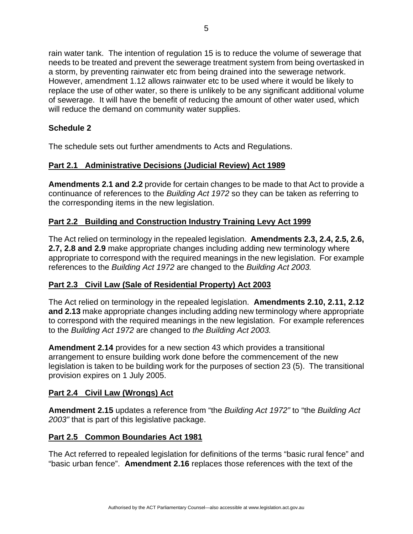rain water tank. The intention of regulation 15 is to reduce the volume of sewerage that needs to be treated and prevent the sewerage treatment system from being overtasked in a storm, by preventing rainwater etc from being drained into the sewerage network. However, amendment 1.12 allows rainwater etc to be used where it would be likely to replace the use of other water, so there is unlikely to be any significant additional volume of sewerage. It will have the benefit of reducing the amount of other water used, which will reduce the demand on community water supplies.

## **Schedule 2**

The schedule sets out further amendments to Acts and Regulations.

## **Part 2.1 Administrative Decisions (Judicial Review) Act 1989**

**Amendments 2.1 and 2.2** provide for certain changes to be made to that Act to provide a continuance of references to the *Building Act 1972* so they can be taken as referring to the corresponding items in the new legislation.

## **Part 2.2 Building and Construction Industry Training Levy Act 1999**

The Act relied on terminology in the repealed legislation. **Amendments 2.3, 2.4, 2.5, 2.6, 2.7, 2.8 and 2.9** make appropriate changes including adding new terminology where appropriate to correspond with the required meanings in the new legislation. For example references to the *Building Act 1972* are changed to the *Building Act 2003.*

## **Part 2.3 Civil Law (Sale of Residential Property) Act 2003**

The Act relied on terminology in the repealed legislation. **Amendments 2.10, 2.11, 2.12 and 2.13** make appropriate changes including adding new terminology where appropriate to correspond with the required meanings in the new legislation. For example references to the *Building Act 1972* are changed to *the Building Act 2003.*

**Amendment 2.14** provides for a new section 43 which provides a transitional arrangement to ensure building work done before the commencement of the new legislation is taken to be building work for the purposes of section 23 (5). The transitional provision expires on 1 July 2005.

## **Part 2.4 Civil Law (Wrongs) Act**

**Amendment 2.15** updates a reference from "the *Building Act 1972"* to "the *Building Act 2003"* that is part of this legislative package.

## **Part 2.5 Common Boundaries Act 1981**

The Act referred to repealed legislation for definitions of the terms "basic rural fence" and "basic urban fence". **Amendment 2.16** replaces those references with the text of the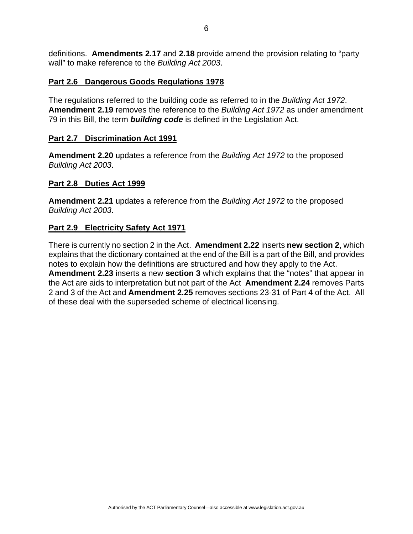definitions. **Amendments 2.17** and **2.18** provide amend the provision relating to "party wall" to make reference to the *Building Act 2003*.

#### **Part 2.6 Dangerous Goods Regulations 1978**

The regulations referred to the building code as referred to in the *Building Act 1972*. **Amendment 2.19** removes the reference to the *Building Act 1972* as under amendment 79 in this Bill, the term *building code* is defined in the Legislation Act.

### **Part 2.7 Discrimination Act 1991**

**Amendment 2.20** updates a reference from the *Building Act 1972* to the proposed *Building Act 2003*.

### **Part 2.8 Duties Act 1999**

**Amendment 2.21** updates a reference from the *Building Act 1972* to the proposed *Building Act 2003*.

## **Part 2.9 Electricity Safety Act 1971**

There is currently no section 2 in the Act. **Amendment 2.22** inserts **new section 2**, which explains that the dictionary contained at the end of the Bill is a part of the Bill, and provides notes to explain how the definitions are structured and how they apply to the Act. **Amendment 2.23** inserts a new **section 3** which explains that the "notes" that appear in the Act are aids to interpretation but not part of the Act **Amendment 2.24** removes Parts 2 and 3 of the Act and **Amendment 2.25** removes sections 23-31 of Part 4 of the Act. All of these deal with the superseded scheme of electrical licensing.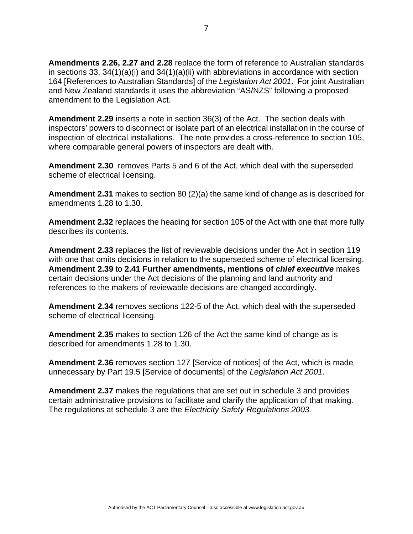**Amendments 2.26, 2.27 and 2.28** replace the form of reference to Australian standards in sections 33, 34(1)(a)(i) and 34(1)(a)(ii) with abbreviations in accordance with section 164 [References to Australian Standards] of the *Legislation Act 2001*. For joint Australian and New Zealand standards it uses the abbreviation "AS/NZS" following a proposed amendment to the Legislation Act.

**Amendment 2.29** inserts a note in section 36(3) of the Act. The section deals with inspectors' powers to disconnect or isolate part of an electrical installation in the course of inspection of electrical installations. The note provides a cross-reference to section 105, where comparable general powers of inspectors are dealt with.

**Amendment 2.30** removes Parts 5 and 6 of the Act, which deal with the superseded scheme of electrical licensing.

**Amendment 2.31** makes to section 80 (2)(a) the same kind of change as is described for amendments 1.28 to 1.30.

**Amendment 2.32** replaces the heading for section 105 of the Act with one that more fully describes its contents.

**Amendment 2.33** replaces the list of reviewable decisions under the Act in section 119 with one that omits decisions in relation to the superseded scheme of electrical licensing. **Amendment 2.39** to **2.41 Further amendments, mentions of** *chief executive* makes certain decisions under the Act decisions of the planning and land authority and references to the makers of reviewable decisions are changed accordingly.

**Amendment 2.34** removes sections 122-5 of the Act, which deal with the superseded scheme of electrical licensing.

**Amendment 2.35** makes to section 126 of the Act the same kind of change as is described for amendments 1.28 to 1.30.

**Amendment 2.36** removes section 127 [Service of notices] of the Act, which is made unnecessary by Part 19.5 [Service of documents] of the *Legislation Act 2001*.

**Amendment 2.37** makes the regulations that are set out in schedule 3 and provides certain administrative provisions to facilitate and clarify the application of that making. The regulations at schedule 3 are the *Electricity Safety Regulations 2003.*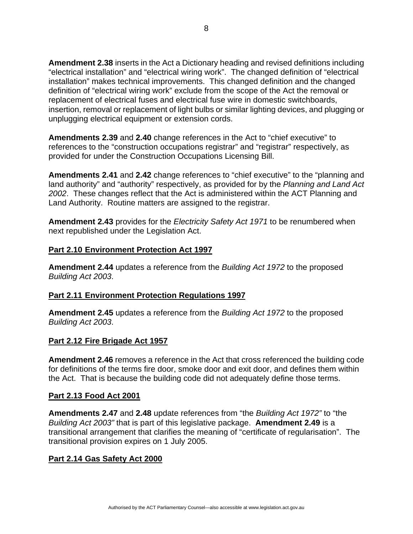**Amendment 2.38** inserts in the Act a Dictionary heading and revised definitions including "electrical installation" and "electrical wiring work". The changed definition of "electrical installation" makes technical improvements. This changed definition and the changed definition of "electrical wiring work" exclude from the scope of the Act the removal or replacement of electrical fuses and electrical fuse wire in domestic switchboards, insertion, removal or replacement of light bulbs or similar lighting devices, and plugging or unplugging electrical equipment or extension cords.

**Amendments 2.39** and **2.40** change references in the Act to "chief executive" to references to the "construction occupations registrar" and "registrar" respectively, as provided for under the Construction Occupations Licensing Bill.

**Amendments 2.41** and **2.42** change references to "chief executive" to the "planning and land authority" and "authority" respectively, as provided for by the *Planning and Land Act 2002*. These changes reflect that the Act is administered within the ACT Planning and Land Authority. Routine matters are assigned to the registrar.

**Amendment 2.43** provides for the *Electricity Safety Act 1971* to be renumbered when next republished under the Legislation Act.

#### **Part 2.10 Environment Protection Act 1997**

**Amendment 2.44** updates a reference from the *Building Act 1972* to the proposed *Building Act 2003*.

#### **Part 2.11 Environment Protection Regulations 1997**

**Amendment 2.45** updates a reference from the *Building Act 1972* to the proposed *Building Act 2003*.

#### **Part 2.12 Fire Brigade Act 1957**

**Amendment 2.46** removes a reference in the Act that cross referenced the building code for definitions of the terms fire door, smoke door and exit door, and defines them within the Act. That is because the building code did not adequately define those terms.

#### **Part 2.13 Food Act 2001**

**Amendments 2.47** and **2.48** update references from "the *Building Act 1972"* to "the *Building Act 2003"* that is part of this legislative package. **Amendment 2.49** is a transitional arrangement that clarifies the meaning of "certificate of regularisation". The transitional provision expires on 1 July 2005.

## **Part 2.14 Gas Safety Act 2000**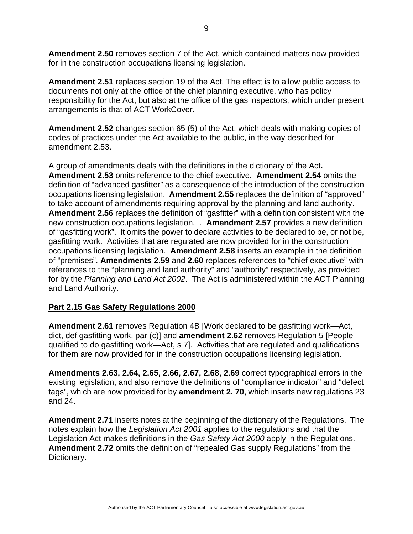**Amendment 2.50** removes section 7 of the Act, which contained matters now provided for in the construction occupations licensing legislation.

**Amendment 2.51** replaces section 19 of the Act. The effect is to allow public access to documents not only at the office of the chief planning executive, who has policy responsibility for the Act, but also at the office of the gas inspectors, which under present arrangements is that of ACT WorkCover.

**Amendment 2.52** changes section 65 (5) of the Act, which deals with making copies of codes of practices under the Act available to the public, in the way described for amendment 2.53.

A group of amendments deals with the definitions in the dictionary of the Act**. Amendment 2.53** omits reference to the chief executive. **Amendment 2.54** omits the definition of "advanced gasfitter" as a consequence of the introduction of the construction occupations licensing legislation. **Amendment 2.55** replaces the definition of "approved" to take account of amendments requiring approval by the planning and land authority. **Amendment 2.56** replaces the definition of "gasfitter" with a definition consistent with the new construction occupations legislation. . **Amendment 2.57** provides a new definition of "gasfitting work". It omits the power to declare activities to be declared to be, or not be, gasfitting work. Activities that are regulated are now provided for in the construction occupations licensing legislation. **Amendment 2.58** inserts an example in the definition of "premises". **Amendments 2.59** and **2.60** replaces references to "chief executive" with references to the "planning and land authority" and "authority" respectively, as provided for by the *Planning and Land Act 2002*. The Act is administered within the ACT Planning and Land Authority.

#### **Part 2.15 Gas Safety Regulations 2000**

**Amendment 2.61** removes Regulation 4B [Work declared to be gasfitting work—Act, dict, def gasfitting work, par (c)] and **amendment 2.62** removes Regulation 5 [People qualified to do gasfitting work—Act, s 7]. Activities that are regulated and qualifications for them are now provided for in the construction occupations licensing legislation.

**Amendments 2.63, 2.64, 2.65, 2.66, 2.67, 2.68, 2.69** correct typographical errors in the existing legislation, and also remove the definitions of "compliance indicator" and "defect tags", which are now provided for by **amendment 2. 70**, which inserts new regulations 23 and 24.

**Amendment 2.71** inserts notes at the beginning of the dictionary of the Regulations. The notes explain how the *Legislation Act 2001* applies to the regulations and that the Legislation Act makes definitions in the *Gas Safety Act 2000* apply in the Regulations. **Amendment 2.72** omits the definition of "repealed Gas supply Regulations" from the Dictionary.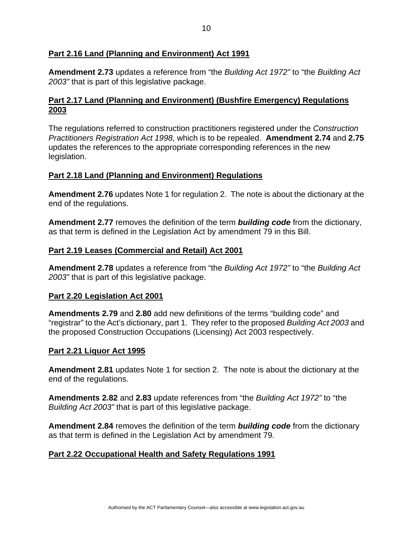### **Part 2.16 Land (Planning and Environment) Act 1991**

**Amendment 2.73** updates a reference from "the *Building Act 1972"* to "the *Building Act 2003"* that is part of this legislative package.

### **Part 2.17 Land (Planning and Environment) (Bushfire Emergency) Regulations 2003**

The regulations referred to construction practitioners registered under the *Construction Practitioners Registration Act 1998,* which is to be repealed.**Amendment 2.74** and **2.75** updates the references to the appropriate corresponding references in the new legislation.

### **Part 2.18 Land (Planning and Environment) Regulations**

**Amendment 2.76** updates Note 1 for regulation 2. The note is about the dictionary at the end of the regulations.

**Amendment 2.77** removes the definition of the term *building code* from the dictionary, as that term is defined in the Legislation Act by amendment 79 in this Bill.

#### **Part 2.19 Leases (Commercial and Retail) Act 2001**

**Amendment 2.78** updates a reference from "the *Building Act 1972"* to "the *Building Act 2003"* that is part of this legislative package.

#### **Part 2.20 Legislation Act 2001**

**Amendments 2.79** and **2.80** add new definitions of the terms "building code" and "registrar" to the Act's dictionary, part 1. They refer to the proposed *Building Act 2003* and the proposed Construction Occupations (Licensing) Act 2003 respectively.

#### **Part 2.21 Liquor Act 1995**

**Amendment 2.81** updates Note 1 for section 2. The note is about the dictionary at the end of the regulations.

**Amendments 2.82** and **2.83** update references from "the *Building Act 1972"* to "the *Building Act 2003"* that is part of this legislative package.

**Amendment 2.84** removes the definition of the term *building code* from the dictionary as that term is defined in the Legislation Act by amendment 79.

## **Part 2.22 Occupational Health and Safety Regulations 1991**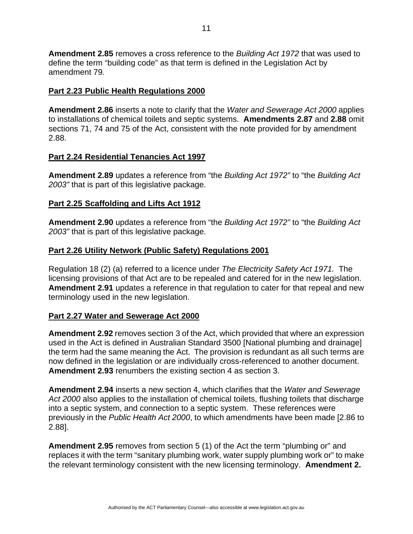**Amendment 2.85** removes a cross reference to the *Building Act 1972* that was used to define the term "building code" as that term is defined in the Legislation Act by amendment 79*.* 

#### **Part 2.23 Public Health Regulations 2000**

**Amendment 2.86** inserts a note to clarify that the *Water and Sewerage Act 2000* applies to installations of chemical toilets and septic systems. **Amendments 2.87** and **2.88** omit sections 71, 74 and 75 of the Act, consistent with the note provided for by amendment 2.88.

#### **Part 2.24 Residential Tenancies Act 1997**

**Amendment 2.89** updates a reference from "the *Building Act 1972"* to "the *Building Act 2003"* that is part of this legislative package.

### **Part 2.25 Scaffolding and Lifts Act 1912**

**Amendment 2.90** updates a reference from "the *Building Act 1972"* to "the *Building Act 2003"* that is part of this legislative package.

### **Part 2.26 Utility Network (Public Safety) Regulations 2001**

Regulation 18 (2) (a) referred to a licence under *The Electricity Safety Act 1971.* The licensing provisions of that Act are to be repealed and catered for in the new legislation. **Amendment 2.91** updates a reference in that regulation to cater for that repeal and new terminology used in the new legislation.

## **Part 2.27 Water and Sewerage Act 2000**

**Amendment 2.92** removes section 3 of the Act, which provided that where an expression used in the Act is defined in Australian Standard 3500 [National plumbing and drainage] the term had the same meaning the Act. The provision is redundant as all such terms are now defined in the legislation or are individually cross-referenced to another document. **Amendment 2.93** renumbers the existing section 4 as section 3.

**Amendment 2.94** inserts a new section 4, which clarifies that the *Water and Sewerage Act 2000* also applies to the installation of chemical toilets, flushing toilets that discharge into a septic system, and connection to a septic system. These references were previously in the *Public Health Act 2000*, to which amendments have been made [2.86 to 2.88].

**Amendment 2.95** removes from section 5 (1) of the Act the term "plumbing or" and replaces it with the term "sanitary plumbing work, water supply plumbing work or" to make the relevant terminology consistent with the new licensing terminology. **Amendment 2.**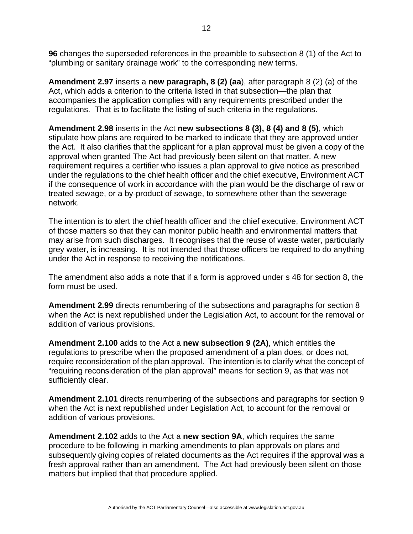**96** changes the superseded references in the preamble to subsection 8 (1) of the Act to "plumbing or sanitary drainage work" to the corresponding new terms.

**Amendment 2.97** inserts a **new paragraph, 8 (2) (aa**), after paragraph 8 (2) (a) of the Act, which adds a criterion to the criteria listed in that subsection—the plan that accompanies the application complies with any requirements prescribed under the regulations. That is to facilitate the listing of such criteria in the regulations.

**Amendment 2.98** inserts in the Act **new subsections 8 (3), 8 (4) and 8 (5)**, which stipulate how plans are required to be marked to indicate that they are approved under the Act. It also clarifies that the applicant for a plan approval must be given a copy of the approval when granted The Act had previously been silent on that matter. A new requirement requires a certifier who issues a plan approval to give notice as prescribed under the regulations to the chief health officer and the chief executive, Environment ACT if the consequence of work in accordance with the plan would be the discharge of raw or treated sewage, or a by-product of sewage, to somewhere other than the sewerage network.

The intention is to alert the chief health officer and the chief executive, Environment ACT of those matters so that they can monitor public health and environmental matters that may arise from such discharges. It recognises that the reuse of waste water, particularly grey water, is increasing. It is not intended that those officers be required to do anything under the Act in response to receiving the notifications.

The amendment also adds a note that if a form is approved under s 48 for section 8, the form must be used.

**Amendment 2.99** directs renumbering of the subsections and paragraphs for section 8 when the Act is next republished under the Legislation Act, to account for the removal or addition of various provisions.

**Amendment 2.100** adds to the Act a **new subsection 9 (2A)**, which entitles the regulations to prescribe when the proposed amendment of a plan does, or does not, require reconsideration of the plan approval. The intention is to clarify what the concept of "requiring reconsideration of the plan approval" means for section 9, as that was not sufficiently clear.

**Amendment 2.101** directs renumbering of the subsections and paragraphs for section 9 when the Act is next republished under Legislation Act, to account for the removal or addition of various provisions.

**Amendment 2.102** adds to the Act a **new section 9A**, which requires the same procedure to be following in marking amendments to plan approvals on plans and subsequently giving copies of related documents as the Act requires if the approval was a fresh approval rather than an amendment. The Act had previously been silent on those matters but implied that that procedure applied.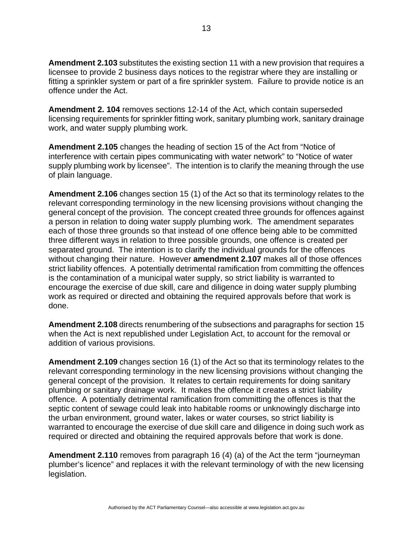**Amendment 2.103** substitutes the existing section 11 with a new provision that requires a licensee to provide 2 business days notices to the registrar where they are installing or fitting a sprinkler system or part of a fire sprinkler system. Failure to provide notice is an offence under the Act.

**Amendment 2. 104** removes sections 12-14 of the Act, which contain superseded licensing requirements for sprinkler fitting work, sanitary plumbing work, sanitary drainage work, and water supply plumbing work.

**Amendment 2.105** changes the heading of section 15 of the Act from "Notice of interference with certain pipes communicating with water network" to "Notice of water supply plumbing work by licensee". The intention is to clarify the meaning through the use of plain language.

**Amendment 2.106** changes section 15 (1) of the Act so that its terminology relates to the relevant corresponding terminology in the new licensing provisions without changing the general concept of the provision. The concept created three grounds for offences against a person in relation to doing water supply plumbing work. The amendment separates each of those three grounds so that instead of one offence being able to be committed three different ways in relation to three possible grounds, one offence is created per separated ground. The intention is to clarify the individual grounds for the offences without changing their nature. However **amendment 2.107** makes all of those offences strict liability offences. A potentially detrimental ramification from committing the offences is the contamination of a municipal water supply, so strict liability is warranted to encourage the exercise of due skill, care and diligence in doing water supply plumbing work as required or directed and obtaining the required approvals before that work is done.

**Amendment 2.108** directs renumbering of the subsections and paragraphs for section 15 when the Act is next republished under Legislation Act, to account for the removal or addition of various provisions.

**Amendment 2.109** changes section 16 (1) of the Act so that its terminology relates to the relevant corresponding terminology in the new licensing provisions without changing the general concept of the provision. It relates to certain requirements for doing sanitary plumbing or sanitary drainage work. It makes the offence it creates a strict liability offence. A potentially detrimental ramification from committing the offences is that the septic content of sewage could leak into habitable rooms or unknowingly discharge into the urban environment, ground water, lakes or water courses, so strict liability is warranted to encourage the exercise of due skill care and diligence in doing such work as required or directed and obtaining the required approvals before that work is done.

**Amendment 2.110** removes from paragraph 16 (4) (a) of the Act the term "journeyman plumber's licence" and replaces it with the relevant terminology of with the new licensing legislation.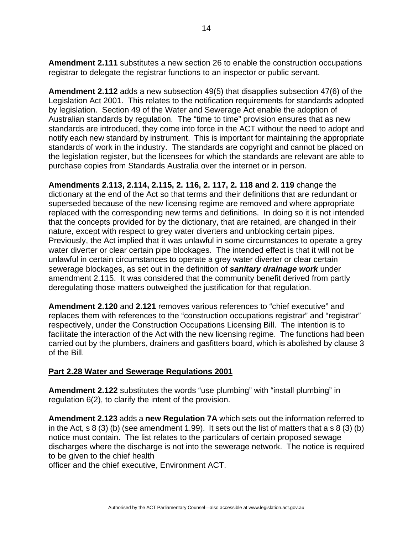**Amendment 2.111** substitutes a new section 26 to enable the construction occupations registrar to delegate the registrar functions to an inspector or public servant.

**Amendment 2.112** adds a new subsection 49(5) that disapplies subsection 47(6) of the Legislation Act 2001. This relates to the notification requirements for standards adopted by legislation. Section 49 of the Water and Sewerage Act enable the adoption of Australian standards by regulation. The "time to time" provision ensures that as new standards are introduced, they come into force in the ACT without the need to adopt and notify each new standard by instrument. This is important for maintaining the appropriate standards of work in the industry. The standards are copyright and cannot be placed on the legislation register, but the licensees for which the standards are relevant are able to purchase copies from Standards Australia over the internet or in person.

**Amendments 2.113, 2.114, 2.115, 2. 116, 2. 117, 2. 118 and 2. 119** change the dictionary at the end of the Act so that terms and their definitions that are redundant or superseded because of the new licensing regime are removed and where appropriate replaced with the corresponding new terms and definitions. In doing so it is not intended that the concepts provided for by the dictionary, that are retained, are changed in their nature, except with respect to grey water diverters and unblocking certain pipes. Previously, the Act implied that it was unlawful in some circumstances to operate a grey water diverter or clear certain pipe blockages. The intended effect is that it will not be unlawful in certain circumstances to operate a grey water diverter or clear certain sewerage blockages, as set out in the definition of *sanitary drainage work* under amendment 2.115. It was considered that the community benefit derived from partly deregulating those matters outweighed the justification for that regulation.

**Amendment 2.120** and **2.121** removes various references to "chief executive" and replaces them with references to the "construction occupations registrar" and "registrar" respectively, under the Construction Occupations Licensing Bill. The intention is to facilitate the interaction of the Act with the new licensing regime. The functions had been carried out by the plumbers, drainers and gasfitters board, which is abolished by clause 3 of the Bill.

## **Part 2.28 Water and Sewerage Regulations 2001**

**Amendment 2.122** substitutes the words "use plumbing" with "install plumbing" in regulation 6(2), to clarify the intent of the provision.

**Amendment 2.123** adds a **new Regulation 7A** which sets out the information referred to in the Act, s  $8(3)(b)$  (see amendment 1.99). It sets out the list of matters that a s  $8(3)(b)$ notice must contain. The list relates to the particulars of certain proposed sewage discharges where the discharge is not into the sewerage network. The notice is required to be given to the chief health

officer and the chief executive, Environment ACT.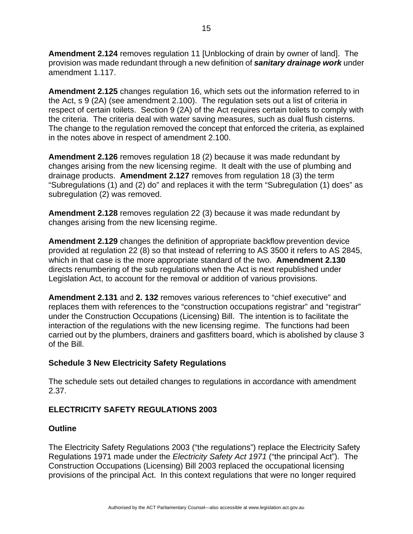**Amendment 2.124** removes regulation 11 [Unblocking of drain by owner of land]. The provision was made redundant through a new definition of *sanitary drainage work* under amendment 1.117.

**Amendment 2.125** changes regulation 16, which sets out the information referred to in the Act, s 9 (2A) (see amendment 2.100). The regulation sets out a list of criteria in respect of certain toilets. Section 9 (2A) of the Act requires certain toilets to comply with the criteria. The criteria deal with water saving measures, such as dual flush cisterns. The change to the regulation removed the concept that enforced the criteria, as explained in the notes above in respect of amendment 2.100.

**Amendment 2.126** removes regulation 18 (2) because it was made redundant by changes arising from the new licensing regime. It dealt with the use of plumbing and drainage products. **Amendment 2.127** removes from regulation 18 (3) the term "Subregulations (1) and (2) do" and replaces it with the term "Subregulation (1) does" as subregulation (2) was removed.

**Amendment 2.128** removes regulation 22 (3) because it was made redundant by changes arising from the new licensing regime.

**Amendment 2.129** changes the definition of appropriate backflow prevention device provided at regulation 22 (8) so that instead of referring to AS 3500 it refers to AS 2845, which in that case is the more appropriate standard of the two. **Amendment 2.130** directs renumbering of the sub regulations when the Act is next republished under Legislation Act, to account for the removal or addition of various provisions.

**Amendment 2.131** and **2. 132** removes various references to "chief executive" and replaces them with references to the "construction occupations registrar" and "registrar" under the Construction Occupations (Licensing) Bill. The intention is to facilitate the interaction of the regulations with the new licensing regime. The functions had been carried out by the plumbers, drainers and gasfitters board, which is abolished by clause 3 of the Bill.

## **Schedule 3 New Electricity Safety Regulations**

The schedule sets out detailed changes to regulations in accordance with amendment 2.37.

## **ELECTRICITY SAFETY REGULATIONS 2003**

## **Outline**

The Electricity Safety Regulations 2003 ("the regulations") replace the Electricity Safety Regulations 1971 made under the *Electricity Safety Act 1971* ("the principal Act"). The Construction Occupations (Licensing) Bill 2003 replaced the occupational licensing provisions of the principal Act. In this context regulations that were no longer required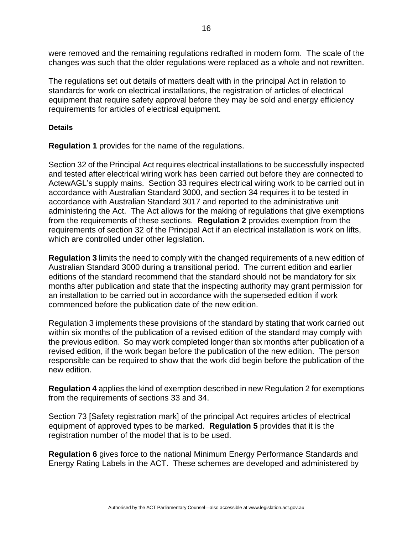were removed and the remaining regulations redrafted in modern form. The scale of the changes was such that the older regulations were replaced as a whole and not rewritten.

The regulations set out details of matters dealt with in the principal Act in relation to standards for work on electrical installations, the registration of articles of electrical equipment that require safety approval before they may be sold and energy efficiency requirements for articles of electrical equipment.

#### **Details**

**Regulation 1** provides for the name of the regulations.

Section 32 of the Principal Act requires electrical installations to be successfully inspected and tested after electrical wiring work has been carried out before they are connected to ActewAGL's supply mains. Section 33 requires electrical wiring work to be carried out in accordance with Australian Standard 3000, and section 34 requires it to be tested in accordance with Australian Standard 3017 and reported to the administrative unit administering the Act. The Act allows for the making of regulations that give exemptions from the requirements of these sections. **Regulation 2** provides exemption from the requirements of section 32 of the Principal Act if an electrical installation is work on lifts, which are controlled under other legislation.

**Regulation 3** limits the need to comply with the changed requirements of a new edition of Australian Standard 3000 during a transitional period. The current edition and earlier editions of the standard recommend that the standard should not be mandatory for six months after publication and state that the inspecting authority may grant permission for an installation to be carried out in accordance with the superseded edition if work commenced before the publication date of the new edition.

Regulation 3 implements these provisions of the standard by stating that work carried out within six months of the publication of a revised edition of the standard may comply with the previous edition. So may work completed longer than six months after publication of a revised edition, if the work began before the publication of the new edition. The person responsible can be required to show that the work did begin before the publication of the new edition.

**Regulation 4** applies the kind of exemption described in new Regulation 2 for exemptions from the requirements of sections 33 and 34.

Section 73 [Safety registration mark] of the principal Act requires articles of electrical equipment of approved types to be marked. **Regulation 5** provides that it is the registration number of the model that is to be used.

**Regulation 6** gives force to the national Minimum Energy Performance Standards and Energy Rating Labels in the ACT. These schemes are developed and administered by